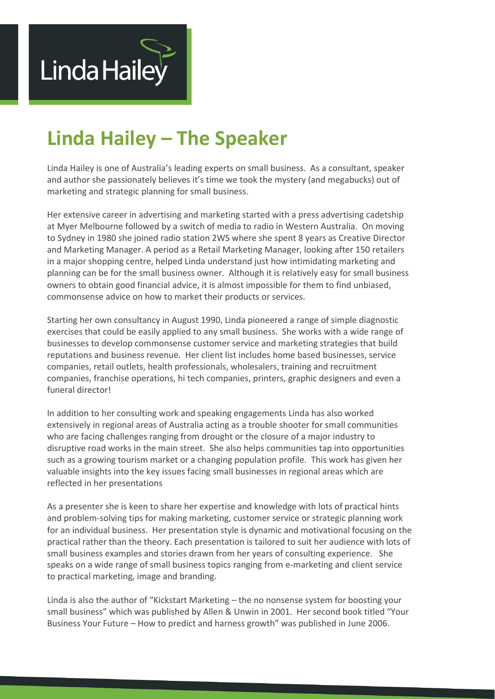

# **Linda Hailey – The Speaker**

Linda Hailey is one of Australia's leading experts on small business. As a consultant, speaker and author she passionately believes it's time we took the mystery (and megabucks) out of marketing and strategic planning for small business.

Her extensive career in advertising and marketing started with a press advertising cadetship at Myer Melbourne followed by a switch of media to radio in Western Australia. On moving to Sydney in 1980 she joined radio station 2WS where she spent 8 years as Creative Director and Marketing Manager. A period as a Retail Marketing Manager, looking after 150 retailers in a major shopping centre, helped Linda understand just how intimidating marketing and planning can be for the small business owner. Although it is relatively easy for small business owners to obtain good financial advice, it is almost impossible for them to find unbiased, commonsense advice on how to market their products or services.

Starting her own consultancy in August 1990, Linda pioneered a range of simple diagnostic exercises that could be easily applied to any small business. She works with a wide range of businesses to develop commonsense customer service and marketing strategies that build reputations and business revenue. Her client list includes home based businesses, service companies, retail outlets, health professionals, wholesalers, training and recruitment companies, franchise operations, hi tech companies, printers, graphic designers and even a funeral director!

In addition to her consulting work and speaking engagements Linda has also worked extensively in regional areas of Australia acting as a trouble shooter for small communities who are facing challenges ranging from drought or the closure of a major industry to disruptive road works in the main street. She also helps communities tap into opportunities such as a growing tourism market or a changing population profile. This work has given her valuable insights into the key issues facing small businesses in regional areas which are reflected in her presentations

As a presenter she is keen to share her expertise and knowledge with lots of practical hints and problem-solving tips for making marketing, customer service or strategic planning work for an individual business. Her presentation style is dynamic and motivational focusing on the practical rather than the theory. Each presentation is tailored to suit her audience with lots of small business examples and stories drawn from her years of consulting experience. She speaks on a wide range of small business topics ranging from e-marketing and client service to practical marketing, image and branding.

Linda is also the author of "Kickstart Marketing – the no nonsense system for boosting your small business" which was published by Allen & Unwin in 2001. Her second book titled "Your Business Your Future – How to predict and harness growth" was published in June 2006.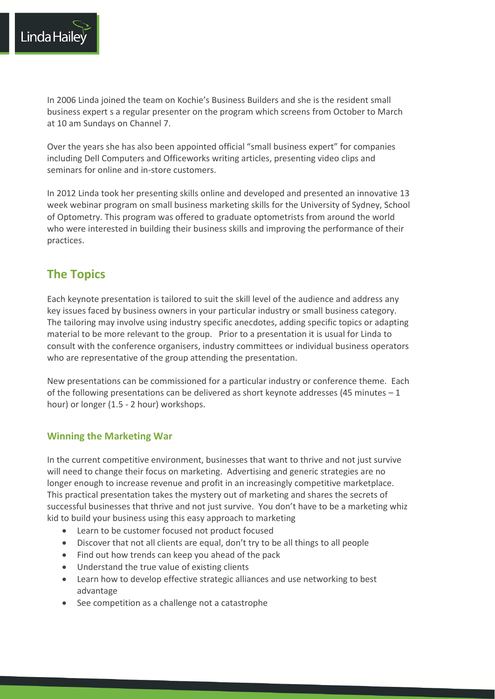

In 2006 Linda joined the team on Kochie's Business Builders and she is the resident small business expert s a regular presenter on the program which screens from October to March at 10 am Sundays on Channel 7.

Over the years she has also been appointed official "small business expert" for companies including Dell Computers and Officeworks writing articles, presenting video clips and seminars for online and in-store customers.

In 2012 Linda took her presenting skills online and developed and presented an innovative 13 week webinar program on small business marketing skills for the University of Sydney, School of Optometry. This program was offered to graduate optometrists from around the world who were interested in building their business skills and improving the performance of their practices.

# **The Topics**

Each keynote presentation is tailored to suit the skill level of the audience and address any key issues faced by business owners in your particular industry or small business category. The tailoring may involve using industry specific anecdotes, adding specific topics or adapting material to be more relevant to the group. Prior to a presentation it is usual for Linda to consult with the conference organisers, industry committees or individual business operators who are representative of the group attending the presentation.

New presentations can be commissioned for a particular industry or conference theme. Each of the following presentations can be delivered as short keynote addresses (45 minutes – 1 hour) or longer (1.5 - 2 hour) workshops.

# **Winning the Marketing War**

In the current competitive environment, businesses that want to thrive and not just survive will need to change their focus on marketing. Advertising and generic strategies are no longer enough to increase revenue and profit in an increasingly competitive marketplace. This practical presentation takes the mystery out of marketing and shares the secrets of successful businesses that thrive and not just survive. You don't have to be a marketing whiz kid to build your business using this easy approach to marketing

- Learn to be customer focused not product focused
- Discover that not all clients are equal, don't try to be all things to all people
- Find out how trends can keep you ahead of the pack
- Understand the true value of existing clients
- Learn how to develop effective strategic alliances and use networking to best advantage
- See competition as a challenge not a catastrophe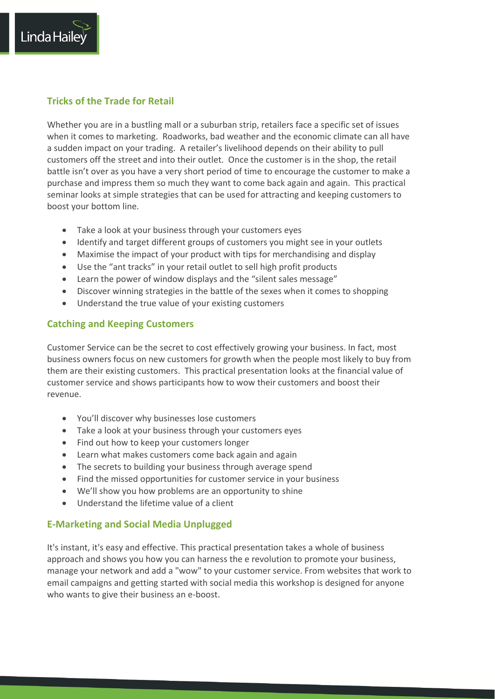# **Tricks of the Trade for Retail**

Linda Haile

Whether you are in a bustling mall or a suburban strip, retailers face a specific set of issues when it comes to marketing. Roadworks, bad weather and the economic climate can all have a sudden impact on your trading. A retailer's livelihood depends on their ability to pull customers off the street and into their outlet. Once the customer is in the shop, the retail battle isn't over as you have a very short period of time to encourage the customer to make a purchase and impress them so much they want to come back again and again. This practical seminar looks at simple strategies that can be used for attracting and keeping customers to boost your bottom line.

- Take a look at your business through your customers eyes
- Identify and target different groups of customers you might see in your outlets
- Maximise the impact of your product with tips for merchandising and display
- Use the "ant tracks" in your retail outlet to sell high profit products
- Learn the power of window displays and the "silent sales message"
- Discover winning strategies in the battle of the sexes when it comes to shopping
- Understand the true value of your existing customers

# **Catching and Keeping Customers**

Customer Service can be the secret to cost effectively growing your business. In fact, most business owners focus on new customers for growth when the people most likely to buy from them are their existing customers. This practical presentation looks at the financial value of customer service and shows participants how to wow their customers and boost their revenue.

- You'll discover why businesses lose customers
- Take a look at your business through your customers eyes
- Find out how to keep your customers longer
- Learn what makes customers come back again and again
- The secrets to building your business through average spend
- Find the missed opportunities for customer service in your business
- We'll show you how problems are an opportunity to shine
- Understand the lifetime value of a client

# **E-Marketing and Social Media Unplugged**

It's instant, it's easy and effective. This practical presentation takes a whole of business approach and shows you how you can harness the e revolution to promote your business, manage your network and add a "wow" to your customer service. From websites that work to email campaigns and getting started with social media this workshop is designed for anyone who wants to give their business an e-boost.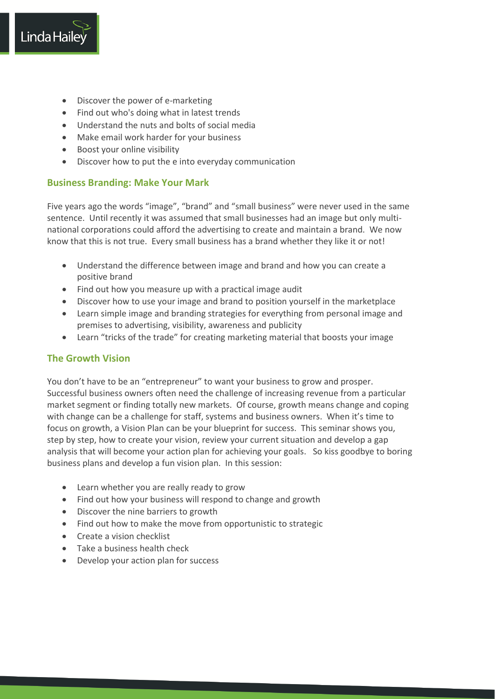

- Discover the power of e-marketing
- Find out who's doing what in latest trends
- Understand the nuts and bolts of social media
- Make email work harder for your business
- Boost your online visibility
- Discover how to put the e into everyday communication

# **Business Branding: Make Your Mark**

Five years ago the words "image", "brand" and "small business" were never used in the same sentence. Until recently it was assumed that small businesses had an image but only multinational corporations could afford the advertising to create and maintain a brand. We now know that this is not true. Every small business has a brand whether they like it or not!

- Understand the difference between image and brand and how you can create a positive brand
- Find out how you measure up with a practical image audit
- Discover how to use your image and brand to position yourself in the marketplace
- Learn simple image and branding strategies for everything from personal image and premises to advertising, visibility, awareness and publicity
- Learn "tricks of the trade" for creating marketing material that boosts your image

# **The Growth Vision**

You don't have to be an "entrepreneur" to want your business to grow and prosper. Successful business owners often need the challenge of increasing revenue from a particular market segment or finding totally new markets. Of course, growth means change and coping with change can be a challenge for staff, systems and business owners. When it's time to focus on growth, a Vision Plan can be your blueprint for success. This seminar shows you, step by step, how to create your vision, review your current situation and develop a gap analysis that will become your action plan for achieving your goals. So kiss goodbye to boring business plans and develop a fun vision plan. In this session:

- Learn whether you are really ready to grow
- Find out how your business will respond to change and growth
- Discover the nine barriers to growth
- Find out how to make the move from opportunistic to strategic
- **•** Create a vision checklist
- Take a business health check
- Develop your action plan for success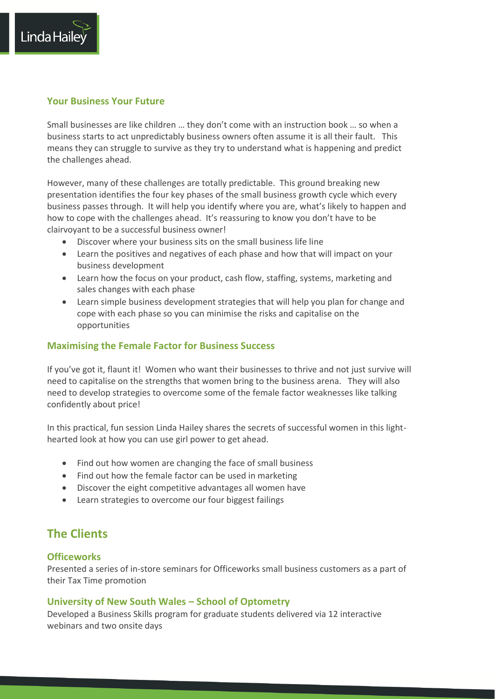## **Your Business Your Future**

Linda Haile

Small businesses are like children … they don't come with an instruction book … so when a business starts to act unpredictably business owners often assume it is all their fault. This means they can struggle to survive as they try to understand what is happening and predict the challenges ahead.

However, many of these challenges are totally predictable. This ground breaking new presentation identifies the four key phases of the small business growth cycle which every business passes through. It will help you identify where you are, what's likely to happen and how to cope with the challenges ahead. It's reassuring to know you don't have to be clairvoyant to be a successful business owner!

- Discover where your business sits on the small business life line
- Learn the positives and negatives of each phase and how that will impact on your business development
- Learn how the focus on your product, cash flow, staffing, systems, marketing and sales changes with each phase
- Learn simple business development strategies that will help you plan for change and cope with each phase so you can minimise the risks and capitalise on the opportunities

## **Maximising the Female Factor for Business Success**

If you've got it, flaunt it! Women who want their businesses to thrive and not just survive will need to capitalise on the strengths that women bring to the business arena. They will also need to develop strategies to overcome some of the female factor weaknesses like talking confidently about price!

In this practical, fun session Linda Hailey shares the secrets of successful women in this lighthearted look at how you can use girl power to get ahead.

- Find out how women are changing the face of small business
- Find out how the female factor can be used in marketing
- Discover the eight competitive advantages all women have
- Learn strategies to overcome our four biggest failings

# **The Clients**

#### **Officeworks**

Presented a series of in-store seminars for Officeworks small business customers as a part of their Tax Time promotion

#### **University of New South Wales – School of Optometry**

Developed a Business Skills program for graduate students delivered via 12 interactive webinars and two onsite days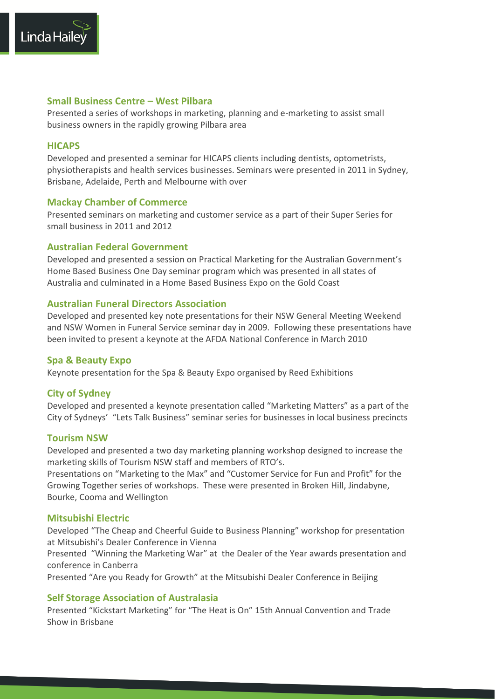

Presented a series of workshops in marketing, planning and e-marketing to assist small business owners in the rapidly growing Pilbara area

# **HICAPS**

Linda Haile

Developed and presented a seminar for HICAPS clients including dentists, optometrists, physiotherapists and health services businesses. Seminars were presented in 2011 in Sydney, Brisbane, Adelaide, Perth and Melbourne with over

# **Mackay Chamber of Commerce**

Presented seminars on marketing and customer service as a part of their Super Series for small business in 2011 and 2012

## **Australian Federal Government**

Developed and presented a session on Practical Marketing for the Australian Government's Home Based Business One Day seminar program which was presented in all states of Australia and culminated in a Home Based Business Expo on the Gold Coast

## **Australian Funeral Directors Association**

Developed and presented key note presentations for their NSW General Meeting Weekend and NSW Women in Funeral Service seminar day in 2009. Following these presentations have been invited to present a keynote at the AFDA National Conference in March 2010

#### **Spa & Beauty Expo**

Keynote presentation for the Spa & Beauty Expo organised by Reed Exhibitions

#### **City of Sydney**

Developed and presented a keynote presentation called "Marketing Matters" as a part of the City of Sydneys' "Lets Talk Business" seminar series for businesses in local business precincts

#### **Tourism NSW**

Developed and presented a two day marketing planning workshop designed to increase the marketing skills of Tourism NSW staff and members of RTO's.

Presentations on "Marketing to the Max" and "Customer Service for Fun and Profit" for the Growing Together series of workshops. These were presented in Broken Hill, Jindabyne, Bourke, Cooma and Wellington

#### **Mitsubishi Electric**

Developed "The Cheap and Cheerful Guide to Business Planning" workshop for presentation at Mitsubishi's Dealer Conference in Vienna

Presented "Winning the Marketing War" at the Dealer of the Year awards presentation and conference in Canberra

Presented "Are you Ready for Growth" at the Mitsubishi Dealer Conference in Beijing

#### **Self Storage Association of Australasia**

Presented "Kickstart Marketing" for "The Heat is On" 15th Annual Convention and Trade Show in Brisbane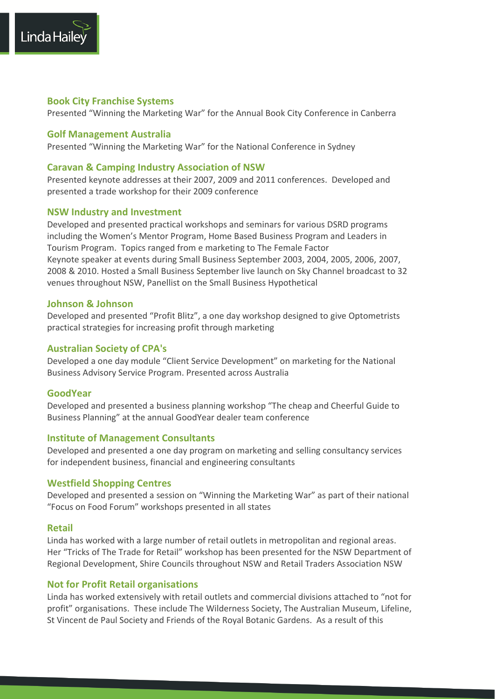

#### **Book City Franchise Systems**

Presented "Winning the Marketing War" for the Annual Book City Conference in Canberra

#### **Golf Management Australia**

Presented "Winning the Marketing War" for the National Conference in Sydney

#### **Caravan & Camping Industry Association of NSW**

Presented keynote addresses at their 2007, 2009 and 2011 conferences. Developed and presented a trade workshop for their 2009 conference

#### **NSW Industry and Investment**

Developed and presented practical workshops and seminars for various DSRD programs including the Women's Mentor Program, Home Based Business Program and Leaders in Tourism Program. Topics ranged from e marketing to The Female Factor Keynote speaker at events during Small Business September 2003, 2004, 2005, 2006, 2007, 2008 & 2010. Hosted a Small Business September live launch on Sky Channel broadcast to 32 venues throughout NSW, Panellist on the Small Business Hypothetical

#### **Johnson & Johnson**

Developed and presented "Profit Blitz", a one day workshop designed to give Optometrists practical strategies for increasing profit through marketing

#### **Australian Society of CPA's**

Developed a one day module "Client Service Development" on marketing for the National Business Advisory Service Program. Presented across Australia

#### **GoodYear**

Developed and presented a business planning workshop "The cheap and Cheerful Guide to Business Planning" at the annual GoodYear dealer team conference

#### **Institute of Management Consultants**

Developed and presented a one day program on marketing and selling consultancy services for independent business, financial and engineering consultants

#### **Westfield Shopping Centres**

Developed and presented a session on "Winning the Marketing War" as part of their national "Focus on Food Forum" workshops presented in all states

#### **Retail**

Linda has worked with a large number of retail outlets in metropolitan and regional areas. Her "Tricks of The Trade for Retail" workshop has been presented for the NSW Department of Regional Development, Shire Councils throughout NSW and Retail Traders Association NSW

#### **Not for Profit Retail organisations**

Linda has worked extensively with retail outlets and commercial divisions attached to "not for profit" organisations. These include The Wilderness Society, The Australian Museum, Lifeline, St Vincent de Paul Society and Friends of the Royal Botanic Gardens. As a result of this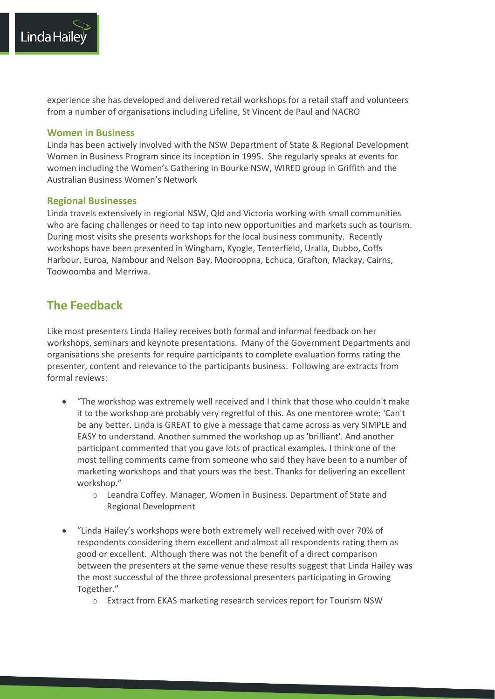

experience she has developed and delivered retail workshops for a retail staff and volunteers from a number of organisations including Lifeline, St Vincent de Paul and NACRO

#### **Women in Business**

Linda has been actively involved with the NSW Department of State & Regional Development Women in Business Program since its inception in 1995. She regularly speaks at events for women including the Women's Gathering in Bourke NSW, WIRED group in Griffith and the Australian Business Women's Network

#### **Regional Businesses**

Linda travels extensively in regional NSW, Qld and Victoria working with small communities who are facing challenges or need to tap into new opportunities and markets such as tourism. During most visits she presents workshops for the local business community. Recently workshops have been presented in Wingham, Kyogle, Tenterfield, Uralla, Dubbo, Coffs Harbour, Euroa, Nambour and Nelson Bay, Mooroopna, Echuca, Grafton, Mackay, Cairns, Toowoomba and Merriwa.

# **The Feedback**

Like most presenters Linda Hailey receives both formal and informal feedback on her workshops, seminars and keynote presentations. Many of the Government Departments and organisations she presents for require participants to complete evaluation forms rating the presenter, content and relevance to the participants business. Following are extracts from formal reviews:

- "The workshop was extremely well received and I think that those who couldn't make it to the workshop are probably very regretful of this. As one mentoree wrote: 'Can't be any better. Linda is GREAT to give a message that came across as very SIMPLE and EASY to understand. Another summed the workshop up as 'brilliant'. And another participant commented that you gave lots of practical examples. I think one of the most telling comments came from someone who said they have been to a number of marketing workshops and that yours was the best. Thanks for delivering an excellent workshop."
	- o Leandra Coffey. Manager, Women in Business. Department of State and Regional Development
- "Linda Hailey's workshops were both extremely well received with over 70% of respondents considering them excellent and almost all respondents rating them as good or excellent. Although there was not the benefit of a direct comparison between the presenters at the same venue these results suggest that Linda Hailey was the most successful of the three professional presenters participating in Growing Together."
	- o Extract from EKAS marketing research services report for Tourism NSW